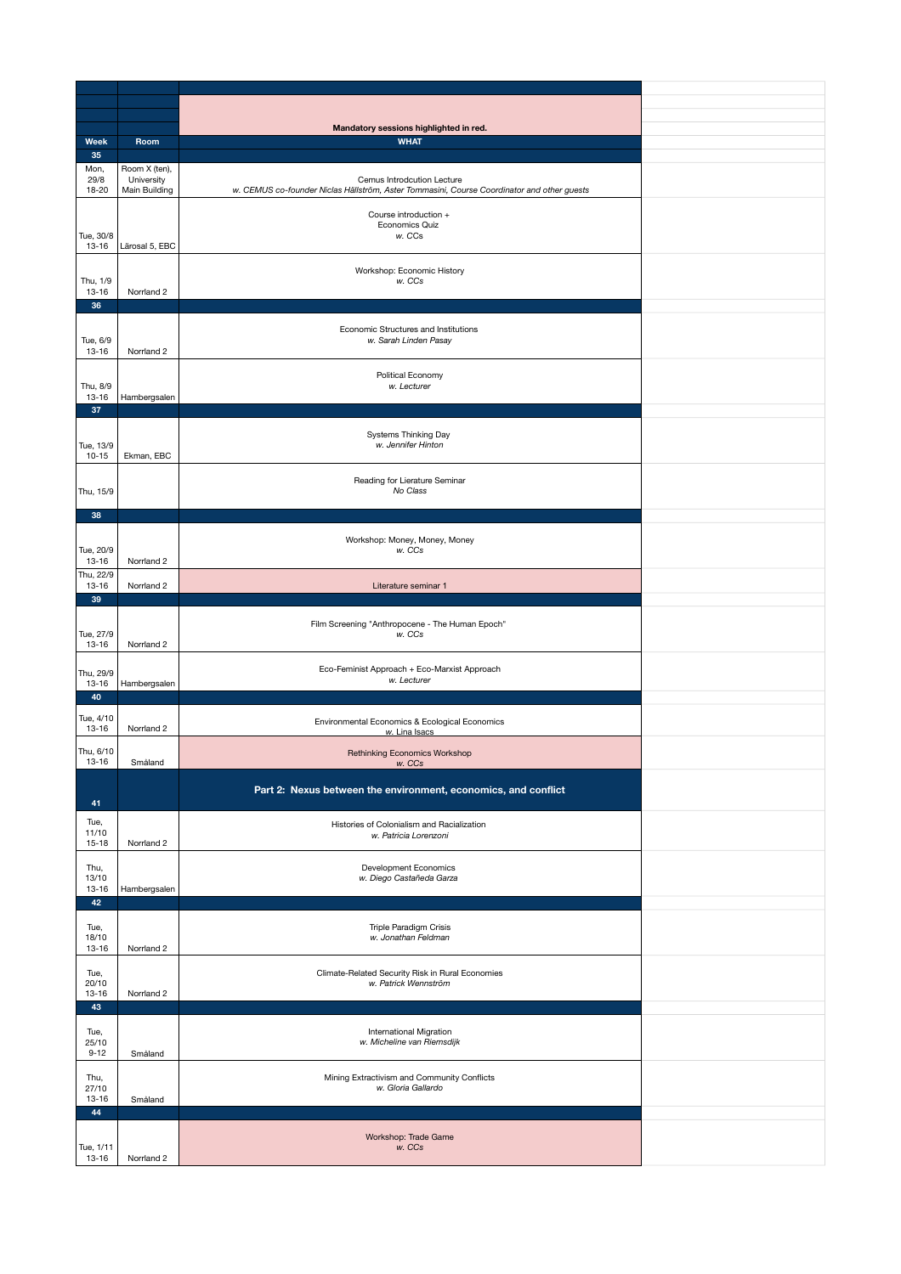| Week               | Room           | Mandatory sessions highlighted in red.<br><b>WHAT</b>                                      |  |
|--------------------|----------------|--------------------------------------------------------------------------------------------|--|
| 35                 |                |                                                                                            |  |
| Mon,               | Room X (ten),  |                                                                                            |  |
| 29/8               | University     | Cemus Introdcution Lecture                                                                 |  |
| 18-20              | Main Building  | w. CEMUS co-founder Niclas Hällström, Aster Tommasini, Course Coordinator and other guests |  |
|                    |                |                                                                                            |  |
|                    |                | Course introduction +                                                                      |  |
| Tue, 30/8          |                | <b>Economics Quiz</b><br>w. CCs                                                            |  |
| 13-16              | Lärosal 5, EBC |                                                                                            |  |
|                    |                |                                                                                            |  |
|                    |                | Workshop: Economic History                                                                 |  |
| Thu, 1/9           |                | w. CCs                                                                                     |  |
| 13-16              | Norrland 2     |                                                                                            |  |
| 36                 |                |                                                                                            |  |
|                    |                | Economic Structures and Institutions                                                       |  |
| Tue, 6/9           |                | w. Sarah Linden Pasay                                                                      |  |
| 13-16              | Norrland 2     |                                                                                            |  |
|                    |                |                                                                                            |  |
|                    |                | Political Economy                                                                          |  |
| Thu, 8/9<br>13-16  | Hambergsalen   | w. Lecturer                                                                                |  |
| 37                 |                |                                                                                            |  |
|                    |                |                                                                                            |  |
|                    |                | Systems Thinking Day                                                                       |  |
| Tue, 13/9          |                | w. Jennifer Hinton                                                                         |  |
| $10 - 15$          | Ekman, EBC     |                                                                                            |  |
|                    |                |                                                                                            |  |
| Thu, 15/9          |                | Reading for Lierature Seminar<br>No Class                                                  |  |
|                    |                |                                                                                            |  |
| 38                 |                |                                                                                            |  |
|                    |                |                                                                                            |  |
|                    |                | Workshop: Money, Money, Money                                                              |  |
| Tue, 20/9          |                | w. CCs                                                                                     |  |
| 13-16              | Norrland 2     |                                                                                            |  |
| Thu, 22/9<br>13-16 | Norrland 2     |                                                                                            |  |
| 39                 |                | Literature seminar 1                                                                       |  |
|                    |                |                                                                                            |  |
|                    |                | Film Screening "Anthropocene - The Human Epoch"                                            |  |
| Tue, 27/9          |                | w. CCs                                                                                     |  |
| 13-16              | Norrland 2     |                                                                                            |  |
|                    |                |                                                                                            |  |
| Thu, 29/9          |                | Eco-Feminist Approach + Eco-Marxist Approach<br>w. Lecturer                                |  |
| 13-16              | Hambergsalen   |                                                                                            |  |
| 40                 |                |                                                                                            |  |
| Tue, 4/10          |                | Environmental Economics & Ecological Economics                                             |  |
| 13-16              | Norrland 2     | w. Lina Isacs                                                                              |  |
|                    |                |                                                                                            |  |
| Thu, 6/10<br>13-16 | Småland        | <b>Rethinking Economics Workshop</b>                                                       |  |
|                    |                | w. CCs                                                                                     |  |
|                    |                | Part 2: Nexus between the environment, economics, and conflict                             |  |
| 41                 |                |                                                                                            |  |
|                    |                |                                                                                            |  |
| Tue,<br>11/10      |                | Histories of Colonialism and Racialization                                                 |  |
| $15 - 18$          | Norrland 2     | w. Patricia Lorenzoni                                                                      |  |
|                    |                |                                                                                            |  |
| Thu,               |                | <b>Development Economics</b>                                                               |  |
| 13/10              |                | w. Diego Castañeda Garza                                                                   |  |
| 13-16              | Hambergsalen   |                                                                                            |  |
| 42                 |                |                                                                                            |  |
| Tue,               |                | Triple Paradigm Crisis                                                                     |  |
| 18/10              |                | w. Jonathan Feldman                                                                        |  |
| 13-16              | Norrland 2     |                                                                                            |  |
|                    |                |                                                                                            |  |
| Tue,<br>20/10      |                | Climate-Related Security Risk in Rural Economies<br>w. Patrick Wennström                   |  |
| 13-16              | Norrland 2     |                                                                                            |  |
| 43                 |                |                                                                                            |  |
|                    |                |                                                                                            |  |
| Tue,               |                | <b>International Migration</b>                                                             |  |
| 25/10              |                | w. Micheline van Riemsdijk                                                                 |  |
| $9 - 12$           | Småland        |                                                                                            |  |
| Thu,               |                | Mining Extractivism and Community Conflicts                                                |  |
| 27/10              |                | w. Gloria Gallardo                                                                         |  |
| 13-16              | Småland        |                                                                                            |  |
| 44                 |                |                                                                                            |  |
|                    |                |                                                                                            |  |
| Tue, 1/11          |                | Workshop: Trade Game<br>w. CCs                                                             |  |
| $13 - 16$          | Norrland 2     |                                                                                            |  |
|                    |                |                                                                                            |  |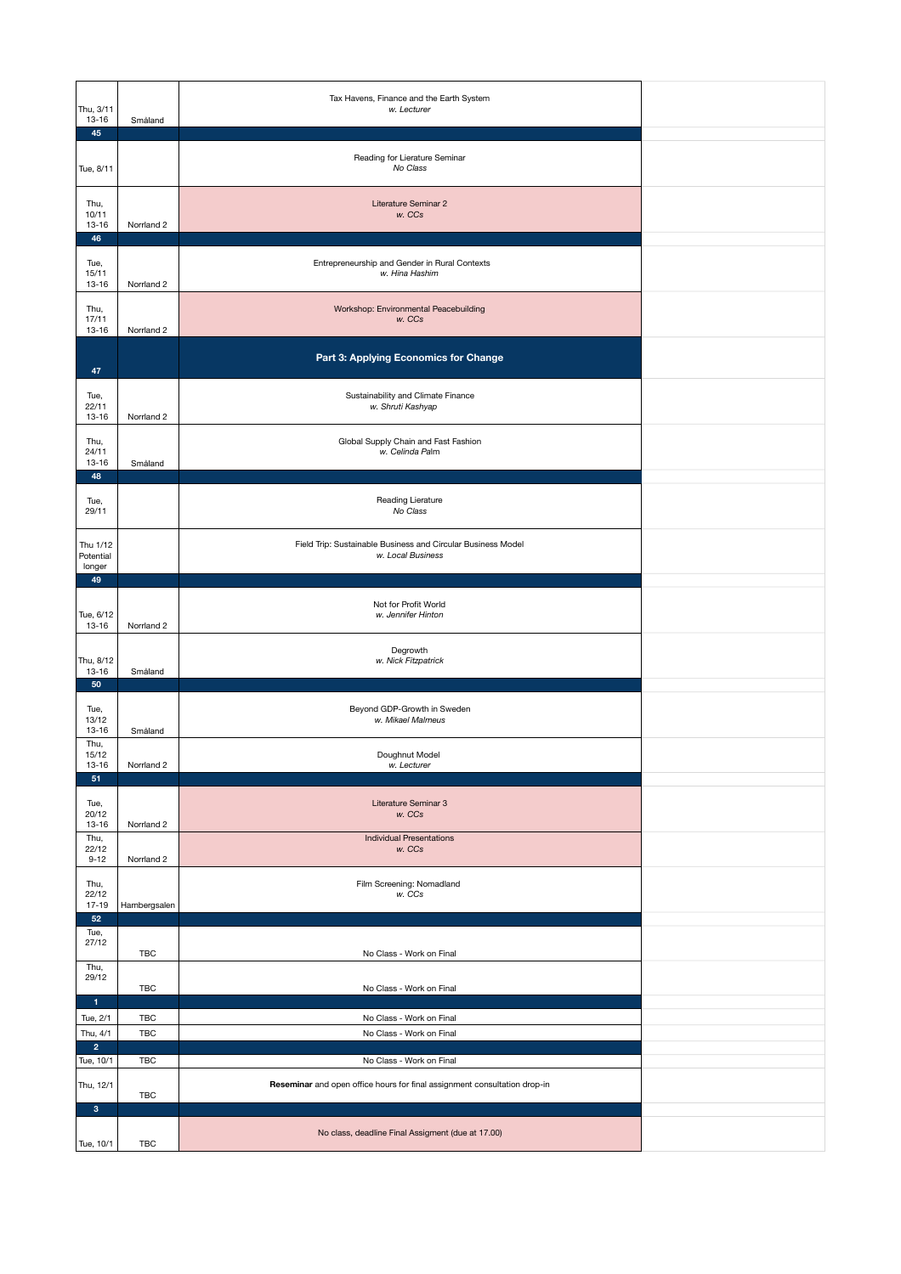| Thu, 3/11<br>13-16<br>45            | Småland      | Tax Havens, Finance and the Earth System<br>w. Lecturer                           |  |
|-------------------------------------|--------------|-----------------------------------------------------------------------------------|--|
| Tue, 8/11                           |              | Reading for Lierature Seminar<br>No Class                                         |  |
| Thu,<br>10/11<br>$13 - 16$          | Norrland 2   | Literature Seminar 2<br>w. CCs                                                    |  |
| 46<br>Tue,                          |              | Entrepreneurship and Gender in Rural Contexts                                     |  |
| 15/11<br>13-16<br>Thu,              | Norrland 2   | w. Hina Hashim<br>Workshop: Environmental Peacebuilding                           |  |
| 17/11<br>$13 - 16$                  | Norrland 2   | w. CCs                                                                            |  |
| 47                                  |              | Part 3: Applying Economics for Change                                             |  |
| Tue,<br>22/11<br>13-16              | Norrland 2   | Sustainability and Climate Finance<br>w. Shruti Kashyap                           |  |
| Thu,<br>24/11<br>13-16              | Småland      | Global Supply Chain and Fast Fashion<br>w. Celinda Palm                           |  |
| 48<br>Tue,                          |              | Reading Lierature                                                                 |  |
| 29/11                               |              | No Class                                                                          |  |
| Thu 1/12<br>Potential<br>longer     |              | Field Trip: Sustainable Business and Circular Business Model<br>w. Local Business |  |
| 49                                  |              |                                                                                   |  |
| Tue, 6/12<br>13-16                  | Norrland 2   | Not for Profit World<br>w. Jennifer Hinton                                        |  |
| Thu, 8/12<br>13-16                  | Småland      | Degrowth<br>w. Nick Fitzpatrick                                                   |  |
| 50                                  |              |                                                                                   |  |
| Tue,<br>13/12<br>13-16              | Småland      | Beyond GDP-Growth in Sweden<br>w. Mikael Malmeus                                  |  |
| Thu,<br>15/12<br>13-16              | Norrland 2   | Doughnut Model<br>w. Lecturer                                                     |  |
| 51                                  |              |                                                                                   |  |
| Tue,<br>20/12<br>$13 - 16$          | Norrland 2   | Literature Seminar 3<br>w. CCs                                                    |  |
| Thu,<br>22/12<br>$9 - 12$           | Norrland 2   | <b>Individual Presentations</b><br>w. CCs                                         |  |
| Thu,<br>22/12<br>17-19              | Hambergsalen | Film Screening: Nomadland<br>w. CCs                                               |  |
| 52<br>Tue,                          |              |                                                                                   |  |
| 27/12<br>Thu,                       | <b>TBC</b>   | No Class - Work on Final                                                          |  |
| 29/12                               | <b>TBC</b>   | No Class - Work on Final                                                          |  |
| $\mathbf{1}$                        |              |                                                                                   |  |
| Tue, 2/1                            | <b>TBC</b>   | No Class - Work on Final                                                          |  |
| Thu, 4/1<br>$\overline{\mathbf{2}}$ | <b>TBC</b>   | No Class - Work on Final                                                          |  |
| Tue, 10/1                           | <b>TBC</b>   | No Class - Work on Final                                                          |  |
| Thu, 12/1<br>3                      | TBC          | Reseminar and open office hours for final assignment consultation drop-in         |  |
|                                     |              |                                                                                   |  |
| Tue, 10/1                           | <b>TBC</b>   | No class, deadline Final Assigment (due at 17.00)                                 |  |